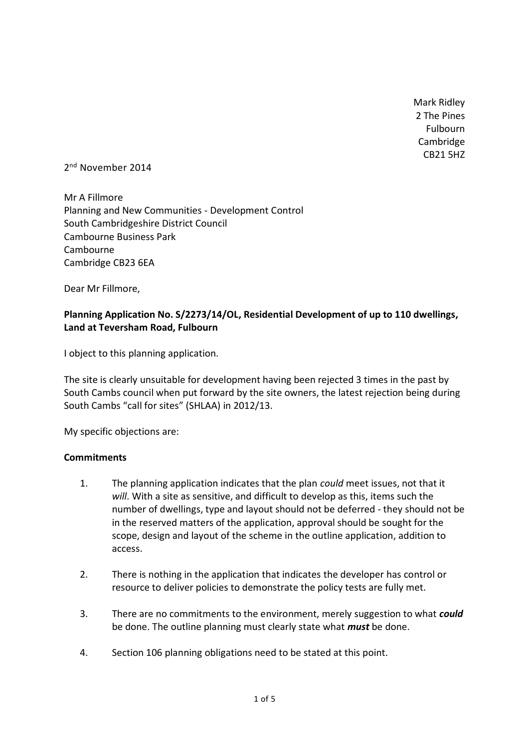Mark Ridley 2 The Pines Fulbourn Cambridge CB21 5HZ

2<sup>nd</sup> November 2014

Mr A Fillmore Planning and New Communities - Development Control South Cambridgeshire District Council Cambourne Business Park **Cambourne** Cambridge CB23 6EA

Dear Mr Fillmore,

# **Planning Application No. S/2273/14/OL, Residential Development of up to 110 dwellings, Land at Teversham Road, Fulbourn**

I object to this planning application.

The site is clearly unsuitable for development having been rejected 3 times in the past by South Cambs council when put forward by the site owners, the latest rejection being during South Cambs "call for sites" (SHLAA) in 2012/13.

My specific objections are:

#### **Commitments**

- 1. The planning application indicates that the plan *could* meet issues, not that it *will*. With a site as sensitive, and difficult to develop as this, items such the number of dwellings, type and layout should not be deferred - they should not be in the reserved matters of the application, approval should be sought for the scope, design and layout of the scheme in the outline application, addition to access.
- 2. There is nothing in the application that indicates the developer has control or resource to deliver policies to demonstrate the policy tests are fully met.
- 3. There are no commitments to the environment, merely suggestion to what *could* be done. The outline planning must clearly state what *must* be done.
- 4. Section 106 planning obligations need to be stated at this point.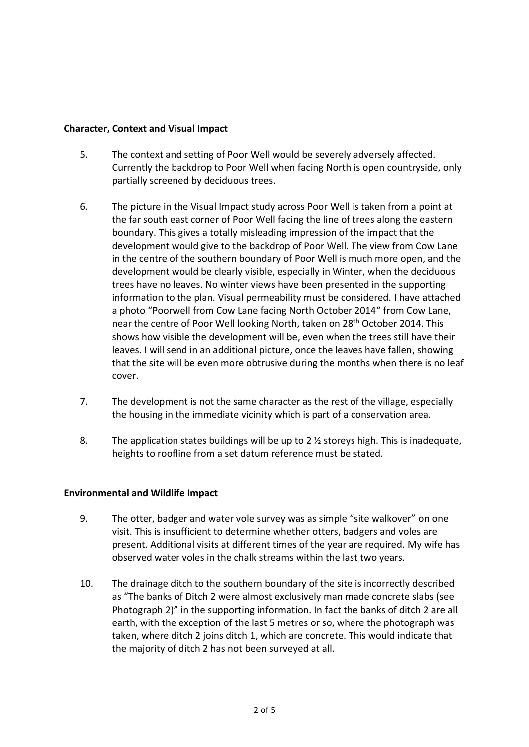## **Character, Context and Visual Impact**

- 5. The context and setting of Poor Well would be severely adversely affected. Currently the backdrop to Poor Well when facing North is open countryside, only partially screened by deciduous trees.
- 6. The picture in the Visual Impact study across Poor Well is taken from a point at the far south east corner of Poor Well facing the line of trees along the eastern boundary. This gives a totally misleading impression of the impact that the development would give to the backdrop of Poor Well. The view from Cow Lane in the centre of the southern boundary of Poor Well is much more open, and the development would be clearly visible, especially in Winter, when the deciduous trees have no leaves. No winter views have been presented in the supporting information to the plan. Visual permeability must be considered. I have attached a photo "Poorwell from Cow Lane facing North October 2014" from Cow Lane, near the centre of Poor Well looking North, taken on 28<sup>th</sup> October 2014. This shows how visible the development will be, even when the trees still have their leaves. I will send in an additional picture, once the leaves have fallen, showing that the site will be even more obtrusive during the months when there is no leaf cover.
- 7. The development is not the same character as the rest of the village, especially the housing in the immediate vicinity which is part of a conservation area.
- 8. The application states buildings will be up to 2 ½ storeys high. This is inadequate, heights to roofline from a set datum reference must be stated.

#### **Environmental and Wildlife Impact**

- 9. The otter, badger and water vole survey was as simple "site walkover" on one visit. This is insufficient to determine whether otters, badgers and voles are present. Additional visits at different times of the year are required. My wife has observed water voles in the chalk streams within the last two years.
- 10. The drainage ditch to the southern boundary of the site is incorrectly described as "The banks of Ditch 2 were almost exclusively man made concrete slabs (see Photograph 2)" in the supporting information. In fact the banks of ditch 2 are all earth, with the exception of the last 5 metres or so, where the photograph was taken, where ditch 2 joins ditch 1, which are concrete. This would indicate that the majority of ditch 2 has not been surveyed at all.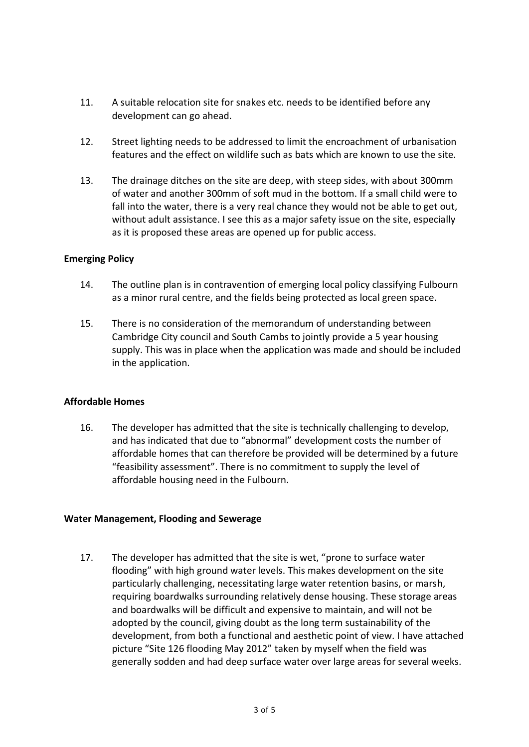- 11. A suitable relocation site for snakes etc. needs to be identified before any development can go ahead.
- 12. Street lighting needs to be addressed to limit the encroachment of urbanisation features and the effect on wildlife such as bats which are known to use the site.
- 13. The drainage ditches on the site are deep, with steep sides, with about 300mm of water and another 300mm of soft mud in the bottom. If a small child were to fall into the water, there is a very real chance they would not be able to get out, without adult assistance. I see this as a major safety issue on the site, especially as it is proposed these areas are opened up for public access.

## **Emerging Policy**

- 14. The outline plan is in contravention of emerging local policy classifying Fulbourn as a minor rural centre, and the fields being protected as local green space.
- 15. There is no consideration of the memorandum of understanding between Cambridge City council and South Cambs to jointly provide a 5 year housing supply. This was in place when the application was made and should be included in the application.

#### **Affordable Homes**

16. The developer has admitted that the site is technically challenging to develop, and has indicated that due to "abnormal" development costs the number of affordable homes that can therefore be provided will be determined by a future "feasibility assessment". There is no commitment to supply the level of affordable housing need in the Fulbourn.

#### **Water Management, Flooding and Sewerage**

17. The developer has admitted that the site is wet, "prone to surface water flooding" with high ground water levels. This makes development on the site particularly challenging, necessitating large water retention basins, or marsh, requiring boardwalks surrounding relatively dense housing. These storage areas and boardwalks will be difficult and expensive to maintain, and will not be adopted by the council, giving doubt as the long term sustainability of the development, from both a functional and aesthetic point of view. I have attached picture "Site 126 flooding May 2012" taken by myself when the field was generally sodden and had deep surface water over large areas for several weeks.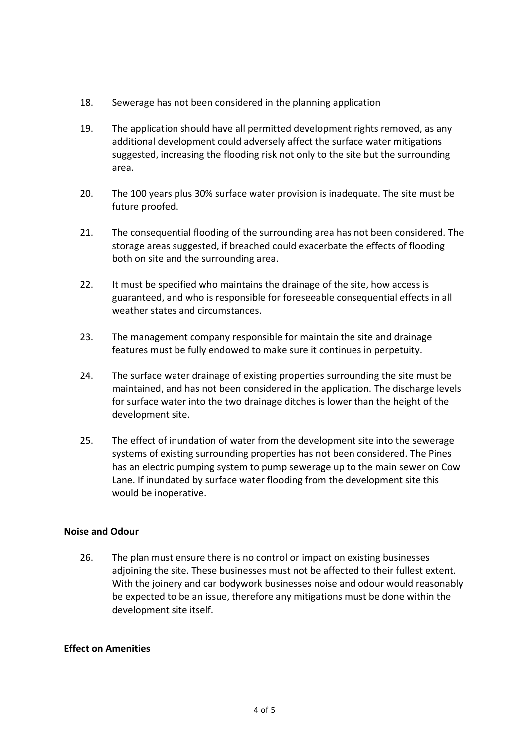- 18. Sewerage has not been considered in the planning application
- 19. The application should have all permitted development rights removed, as any additional development could adversely affect the surface water mitigations suggested, increasing the flooding risk not only to the site but the surrounding area.
- 20. The 100 years plus 30% surface water provision is inadequate. The site must be future proofed.
- 21. The consequential flooding of the surrounding area has not been considered. The storage areas suggested, if breached could exacerbate the effects of flooding both on site and the surrounding area.
- 22. It must be specified who maintains the drainage of the site, how access is guaranteed, and who is responsible for foreseeable consequential effects in all weather states and circumstances.
- 23. The management company responsible for maintain the site and drainage features must be fully endowed to make sure it continues in perpetuity.
- 24. The surface water drainage of existing properties surrounding the site must be maintained, and has not been considered in the application. The discharge levels for surface water into the two drainage ditches is lower than the height of the development site.
- 25. The effect of inundation of water from the development site into the sewerage systems of existing surrounding properties has not been considered. The Pines has an electric pumping system to pump sewerage up to the main sewer on Cow Lane. If inundated by surface water flooding from the development site this would be inoperative.

#### **Noise and Odour**

26. The plan must ensure there is no control or impact on existing businesses adjoining the site. These businesses must not be affected to their fullest extent. With the joinery and car bodywork businesses noise and odour would reasonably be expected to be an issue, therefore any mitigations must be done within the development site itself.

#### **Effect on Amenities**